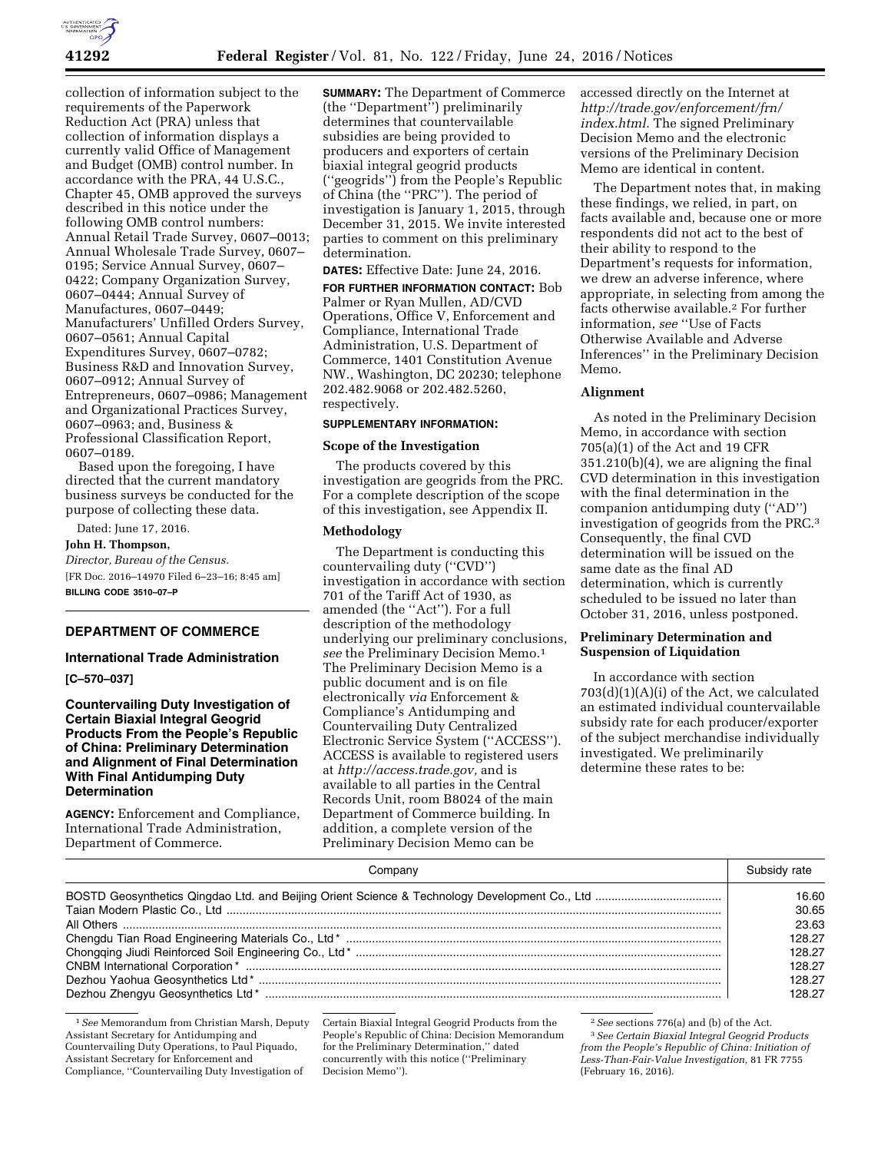

collection of information subject to the requirements of the Paperwork Reduction Act (PRA) unless that collection of information displays a currently valid Office of Management and Budget (OMB) control number. In accordance with the PRA, 44 U.S.C., Chapter 45, OMB approved the surveys described in this notice under the following OMB control numbers: Annual Retail Trade Survey, 0607–0013; Annual Wholesale Trade Survey, 0607– 0195; Service Annual Survey, 0607– 0422; Company Organization Survey, 0607–0444; Annual Survey of Manufactures, 0607–0449; Manufacturers' Unfilled Orders Survey, 0607–0561; Annual Capital Expenditures Survey, 0607–0782; Business R&D and Innovation Survey, 0607–0912; Annual Survey of Entrepreneurs, 0607–0986; Management and Organizational Practices Survey, 0607–0963; and, Business & Professional Classification Report, 0607–0189.

Based upon the foregoing, I have directed that the current mandatory business surveys be conducted for the purpose of collecting these data.

Dated: June 17, 2016.

**John H. Thompson,** 

*Director, Bureau of the Census.*  [FR Doc. 2016–14970 Filed 6–23–16; 8:45 am]

**BILLING CODE 3510–07–P** 

# **DEPARTMENT OF COMMERCE**

# **International Trade Administration**

#### **[C–570–037]**

# **Countervailing Duty Investigation of Certain Biaxial Integral Geogrid Products From the People's Republic of China: Preliminary Determination and Alignment of Final Determination With Final Antidumping Duty Determination**

**AGENCY:** Enforcement and Compliance, International Trade Administration, Department of Commerce.

**SUMMARY:** The Department of Commerce (the ''Department'') preliminarily determines that countervailable subsidies are being provided to producers and exporters of certain biaxial integral geogrid products (''geogrids'') from the People's Republic of China (the ''PRC''). The period of investigation is January 1, 2015, through December 31, 2015. We invite interested parties to comment on this preliminary determination.

**DATES:** Effective Date: June 24, 2016.

**FOR FURTHER INFORMATION CONTACT:** Bob Palmer or Ryan Mullen, AD/CVD Operations, Office V, Enforcement and Compliance, International Trade Administration, U.S. Department of Commerce, 1401 Constitution Avenue NW., Washington, DC 20230; telephone 202.482.9068 or 202.482.5260, respectively.

# **SUPPLEMENTARY INFORMATION:**

#### **Scope of the Investigation**

The products covered by this investigation are geogrids from the PRC. For a complete description of the scope of this investigation, see Appendix II.

#### **Methodology**

The Department is conducting this countervailing duty (''CVD'') investigation in accordance with section 701 of the Tariff Act of 1930, as amended (the ''Act''). For a full description of the methodology underlying our preliminary conclusions, *see* the Preliminary Decision Memo.1 The Preliminary Decision Memo is a public document and is on file electronically *via* Enforcement & Compliance's Antidumping and Countervailing Duty Centralized Electronic Service System (''ACCESS''). ACCESS is available to registered users at *[http://access.trade.gov,](http://access.trade.gov)* and is available to all parties in the Central Records Unit, room B8024 of the main Department of Commerce building. In addition, a complete version of the Preliminary Decision Memo can be

accessed directly on the Internet at *[http://trade.gov/enforcement/frn/](http://trade.gov/enforcement/frn/index.html) [index.html](http://trade.gov/enforcement/frn/index.html)*. The signed Preliminary Decision Memo and the electronic versions of the Preliminary Decision Memo are identical in content.

The Department notes that, in making these findings, we relied, in part, on facts available and, because one or more respondents did not act to the best of their ability to respond to the Department's requests for information, we drew an adverse inference, where appropriate, in selecting from among the facts otherwise available.2 For further information, *see* ''Use of Facts Otherwise Available and Adverse Inferences'' in the Preliminary Decision Memo.

#### **Alignment**

As noted in the Preliminary Decision Memo, in accordance with section 705(a)(1) of the Act and 19 CFR 351.210(b)(4), we are aligning the final CVD determination in this investigation with the final determination in the companion antidumping duty (''AD'') investigation of geogrids from the PRC.3 Consequently, the final CVD determination will be issued on the same date as the final AD determination, which is currently scheduled to be issued no later than October 31, 2016, unless postponed.

# **Preliminary Determination and Suspension of Liquidation**

In accordance with section 703(d)(1)(A)(i) of the Act, we calculated an estimated individual countervailable subsidy rate for each producer/exporter of the subject merchandise individually investigated. We preliminarily determine these rates to be:

| Companv | Subsidy rate |
|---------|--------------|
|         | 16.60        |
|         | 30.65        |
|         | 23.63        |
|         | 128.27       |
|         | 128.27       |
|         | 128.27       |
|         | 128.27       |
|         | 128.27       |

1*See* Memorandum from Christian Marsh, Deputy Assistant Secretary for Antidumping and Countervailing Duty Operations, to Paul Piquado, Assistant Secretary for Enforcement and Compliance, ''Countervailing Duty Investigation of

Certain Biaxial Integral Geogrid Products from the People's Republic of China: Decision Memorandum for the Preliminary Determination,'' dated concurrently with this notice (''Preliminary Decision Memo'').

2*See* sections 776(a) and (b) of the Act.

<sup>3</sup>*See Certain Biaxial Integral Geogrid Products from the People's Republic of China: Initiation of Less-Than-Fair-Value Investigation,* 81 FR 7755 (February 16, 2016).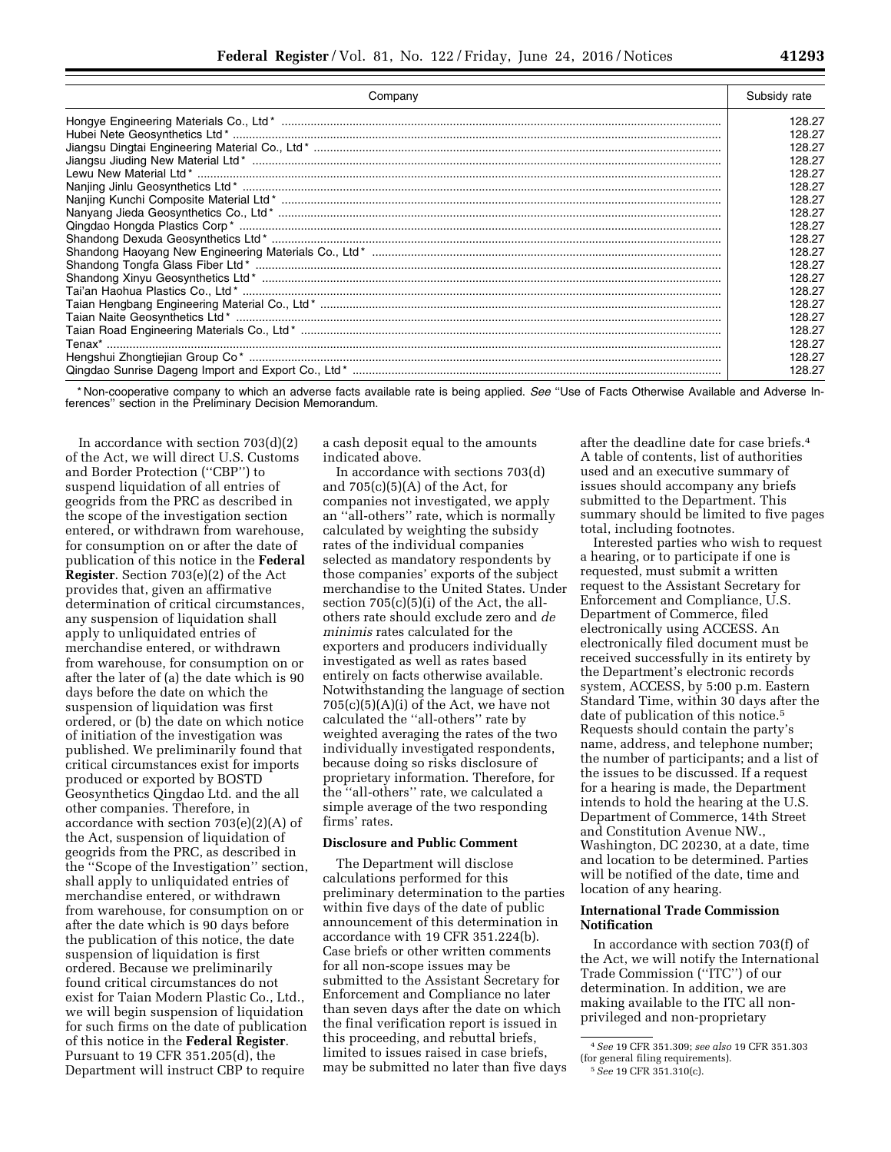|  | r<br>--<br>-- |
|--|---------------|
|  |               |

| Company | Subsidy rate |
|---------|--------------|
|         | 128.27       |
|         | 128.27       |
|         | 128.27       |
|         | 128.27       |
|         | 128.27       |
|         | 128.27       |
|         | 128.27       |
|         | 128.27       |
|         | 128.27       |
|         | 128.27       |
|         | 128.27       |
|         | 128.27       |
|         | 128.27       |
|         | 128.27       |
|         | 128.27       |
|         | 128.27       |
|         | 128.27       |
|         | 128.27       |
|         | 128.27       |
|         | 128.27       |

\* Non-cooperative company to which an adverse facts available rate is being applied. *See* ''Use of Facts Otherwise Available and Adverse Inferences" section in the Preliminary Decision Memorandum.

In accordance with section  $703(d)(2)$ of the Act, we will direct U.S. Customs and Border Protection (''CBP'') to suspend liquidation of all entries of geogrids from the PRC as described in the scope of the investigation section entered, or withdrawn from warehouse, for consumption on or after the date of publication of this notice in the **Federal Register**. Section 703(e)(2) of the Act provides that, given an affirmative determination of critical circumstances, any suspension of liquidation shall apply to unliquidated entries of merchandise entered, or withdrawn from warehouse, for consumption on or after the later of (a) the date which is 90 days before the date on which the suspension of liquidation was first ordered, or (b) the date on which notice of initiation of the investigation was published. We preliminarily found that critical circumstances exist for imports produced or exported by BOSTD Geosynthetics Qingdao Ltd. and the all other companies. Therefore, in accordance with section 703(e)(2)(A) of the Act, suspension of liquidation of geogrids from the PRC, as described in the ''Scope of the Investigation'' section, shall apply to unliquidated entries of merchandise entered, or withdrawn from warehouse, for consumption on or after the date which is 90 days before the publication of this notice, the date suspension of liquidation is first ordered. Because we preliminarily found critical circumstances do not exist for Taian Modern Plastic Co., Ltd., we will begin suspension of liquidation for such firms on the date of publication of this notice in the **Federal Register**. Pursuant to 19 CFR 351.205(d), the Department will instruct CBP to require

a cash deposit equal to the amounts indicated above.

In accordance with sections 703(d) and  $705(c)(5)(A)$  of the Act, for companies not investigated, we apply an ''all-others'' rate, which is normally calculated by weighting the subsidy rates of the individual companies selected as mandatory respondents by those companies' exports of the subject merchandise to the United States. Under section 705(c)(5)(i) of the Act, the allothers rate should exclude zero and *de minimis* rates calculated for the exporters and producers individually investigated as well as rates based entirely on facts otherwise available. Notwithstanding the language of section  $705(c)(5)(A)(i)$  of the Act, we have not calculated the ''all-others'' rate by weighted averaging the rates of the two individually investigated respondents, because doing so risks disclosure of proprietary information. Therefore, for the ''all-others'' rate, we calculated a simple average of the two responding firms' rates.

#### **Disclosure and Public Comment**

The Department will disclose calculations performed for this preliminary determination to the parties within five days of the date of public announcement of this determination in accordance with 19 CFR 351.224(b). Case briefs or other written comments for all non-scope issues may be submitted to the Assistant Secretary for Enforcement and Compliance no later than seven days after the date on which the final verification report is issued in this proceeding, and rebuttal briefs, limited to issues raised in case briefs, may be submitted no later than five days after the deadline date for case briefs.4 A table of contents, list of authorities used and an executive summary of issues should accompany any briefs submitted to the Department. This summary should be limited to five pages total, including footnotes.

Interested parties who wish to request a hearing, or to participate if one is requested, must submit a written request to the Assistant Secretary for Enforcement and Compliance, U.S. Department of Commerce, filed electronically using ACCESS. An electronically filed document must be received successfully in its entirety by the Department's electronic records system, ACCESS, by 5:00 p.m. Eastern Standard Time, within 30 days after the date of publication of this notice.5 Requests should contain the party's name, address, and telephone number; the number of participants; and a list of the issues to be discussed. If a request for a hearing is made, the Department intends to hold the hearing at the U.S. Department of Commerce, 14th Street and Constitution Avenue NW., Washington, DC 20230, at a date, time and location to be determined. Parties will be notified of the date, time and location of any hearing.

# **International Trade Commission Notification**

In accordance with section 703(f) of the Act, we will notify the International Trade Commission (''ITC'') of our determination. In addition, we are making available to the ITC all nonprivileged and non-proprietary

<sup>4</sup>*See* 19 CFR 351.309; *see also* 19 CFR 351.303 (for general filing requirements).

<sup>5</sup>*See* 19 CFR 351.310(c).